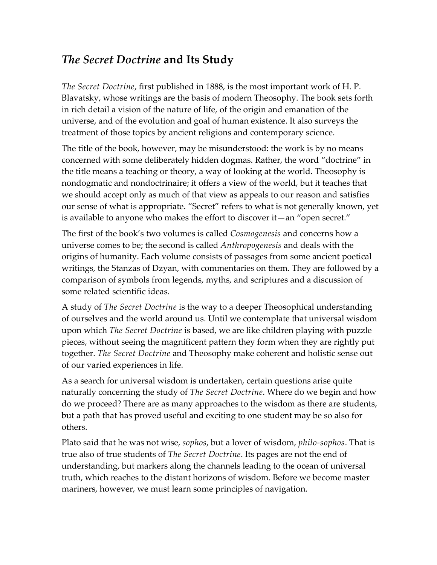## *The Secret Doctrine* **and Its Study**

*The Secret Doctrine*, first published in 1888, is the most important work of H. P. Blavatsky, whose writings are the basis of modern Theosophy. The book sets forth in rich detail a vision of the nature of life, of the origin and emanation of the universe, and of the evolution and goal of human existence. It also surveys the treatment of those topics by ancient religions and contemporary science.

The title of the book, however, may be misunderstood: the work is by no means concerned with some deliberately hidden dogmas. Rather, the word "doctrine" in the title means a teaching or theory, a way of looking at the world. Theosophy is nondogmatic and nondoctrinaire; it offers a view of the world, but it teaches that we should accept only as much of that view as appeals to our reason and satisfies our sense of what is appropriate. "Secret" refers to what is not generally known, yet is available to anyone who makes the effort to discover it—an "open secret."

The first of the book's two volumes is called *Cosmogenesis* and concerns how a universe comes to be; the second is called *Anthropogenesis* and deals with the origins of humanity. Each volume consists of passages from some ancient poetical writings, the Stanzas of Dzyan, with commentaries on them. They are followed by a comparison of symbols from legends, myths, and scriptures and a discussion of some related scientific ideas.

A study of *The Secret Doctrine* is the way to a deeper Theosophical understanding of ourselves and the world around us. Until we contemplate that universal wisdom upon which *The Secret Doctrine* is based, we are like children playing with puzzle pieces, without seeing the magnificent pattern they form when they are rightly put together. *The Secret Doctrine* and Theosophy make coherent and holistic sense out of our varied experiences in life.

As a search for universal wisdom is undertaken, certain questions arise quite naturally concerning the study of *The Secret Doctrine*. Where do we begin and how do we proceed? There are as many approaches to the wisdom as there are students, but a path that has proved useful and exciting to one student may be so also for others.

Plato said that he was not wise, *sophos*, but a lover of wisdom, *philo-sophos*. That is true also of true students of *The Secret Doctrine*. Its pages are not the end of understanding, but markers along the channels leading to the ocean of universal truth, which reaches to the distant horizons of wisdom. Before we become master mariners, however, we must learn some principles of navigation.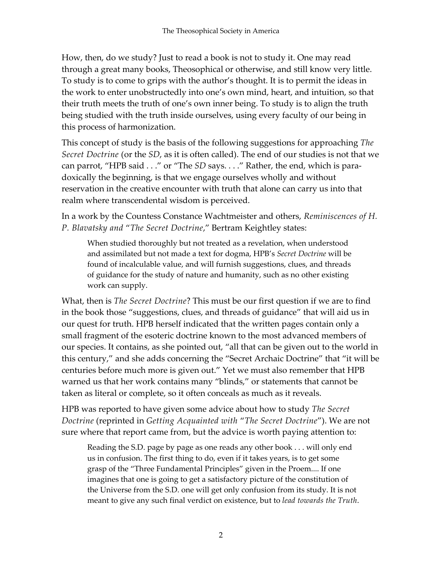How, then, do we study? Just to read a book is not to study it. One may read through a great many books, Theosophical or otherwise, and still know very little. To study is to come to grips with the author's thought. It is to permit the ideas in the work to enter unobstructedly into one's own mind, heart, and intuition, so that their truth meets the truth of one's own inner being. To study is to align the truth being studied with the truth inside ourselves, using every faculty of our being in this process of harmonization.

This concept of study is the basis of the following suggestions for approaching *The Secret Doctrine* (or the *SD*, as it is often called). The end of our studies is not that we can parrot, "HPB said . . ." or "The *SD* says. . . ." Rather, the end, which is paradoxically the beginning, is that we engage ourselves wholly and without reservation in the creative encounter with truth that alone can carry us into that realm where transcendental wisdom is perceived.

In a work by the Countess Constance Wachtmeister and others, *Reminiscences of H. P. Blavatsky and* "*The Secret Doctrine*," Bertram Keightley states:

When studied thoroughly but not treated as a revelation, when understood and assimilated but not made a text for dogma, HPB's *Secret Doctrine* will be found of incalculable value, and will furnish suggestions, clues, and threads of guidance for the study of nature and humanity, such as no other existing work can supply.

What, then is *The Secret Doctrine*? This must be our first question if we are to find in the book those "suggestions, clues, and threads of guidance" that will aid us in our quest for truth. HPB herself indicated that the written pages contain only a small fragment of the esoteric doctrine known to the most advanced members of our species. It contains, as she pointed out, "all that can be given out to the world in this century," and she adds concerning the "Secret Archaic Doctrine" that "it will be centuries before much more is given out." Yet we must also remember that HPB warned us that her work contains many "blinds," or statements that cannot be taken as literal or complete, so it often conceals as much as it reveals.

HPB was reported to have given some advice about how to study *The Secret Doctrine* (reprinted in *Getting Acquainted with* "*The Secret Doctrine*"). We are not sure where that report came from, but the advice is worth paying attention to:

Reading the S.D. page by page as one reads any other book . . . will only end us in confusion. The first thing to do, even if it takes years, is to get some grasp of the "Three Fundamental Principles" given in the Proem.... If one imagines that one is going to get a satisfactory picture of the constitution of the Universe from the S.D. one will get only confusion from its study. It is not meant to give any such final verdict on existence, but to *lead towards the Truth*.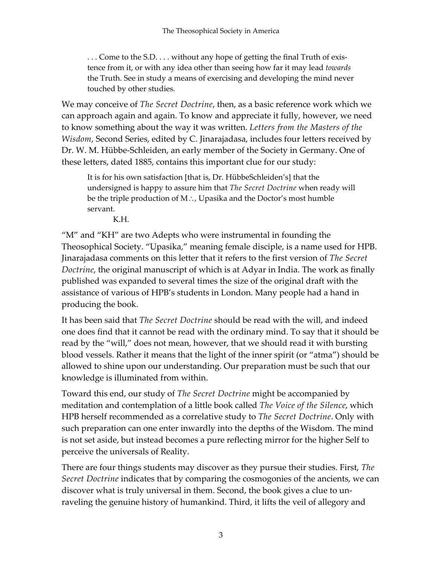. . . Come to the S.D. . . . without any hope of getting the final Truth of existence from it, or with any idea other than seeing how far it may lead *towards* the Truth. See in study a means of exercising and developing the mind never touched by other studies.

We may conceive of *The Secret Doctrine*, then, as a basic reference work which we can approach again and again. To know and appreciate it fully, however, we need to know something about the way it was written. *Letters from the Masters of the Wisdom*, Second Series, edited by C. Jinarajadasa, includes four letters received by Dr. W. M. Hübbe-Schleiden, an early member of the Society in Germany. One of these letters, dated 1885, contains this important clue for our study:

It is for his own satisfaction [that is, Dr. HübbeSchleiden's] that the undersigned is happy to assure him that *The Secret Doctrine* when ready will be the triple production of M∴, Upasika and the Doctor's most humble servant.

K.H.

"M" and "KH" are two Adepts who were instrumental in founding the Theosophical Society. "Upasika," meaning female disciple, is a name used for HPB. Jinarajadasa comments on this letter that it refers to the first version of *The Secret Doctrine*, the original manuscript of which is at Adyar in India. The work as finally published was expanded to several times the size of the original draft with the assistance of various of HPB's students in London. Many people had a hand in producing the book.

It has been said that *The Secret Doctrine* should be read with the will, and indeed one does find that it cannot be read with the ordinary mind. To say that it should be read by the "will," does not mean, however, that we should read it with bursting blood vessels. Rather it means that the light of the inner spirit (or "atma") should be allowed to shine upon our understanding. Our preparation must be such that our knowledge is illuminated from within.

Toward this end, our study of *The Secret Doctrine* might be accompanied by meditation and contemplation of a little book called *The Voice of the Silence*, which HPB herself recommended as a correlative study to *The Secret Doctrine*. Only with such preparation can one enter inwardly into the depths of the Wisdom. The mind is not set aside, but instead becomes a pure reflecting mirror for the higher Self to perceive the universals of Reality.

There are four things students may discover as they pursue their studies. First, *The Secret Doctrine* indicates that by comparing the cosmogonies of the ancients, we can discover what is truly universal in them. Second, the book gives a clue to unraveling the genuine history of humankind. Third, it lifts the veil of allegory and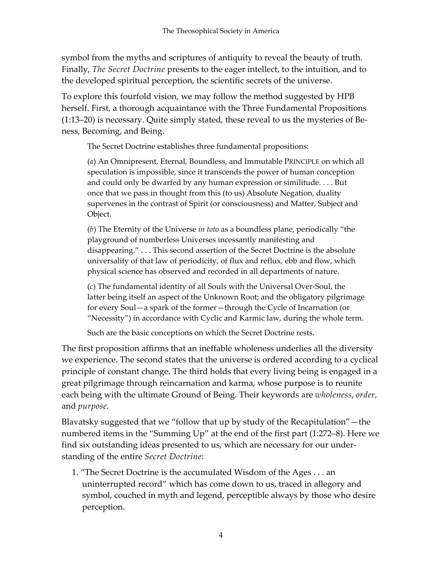symbol from the myths and scriptures of antiquity to reveal the beauty of truth. Finally, *The Secret Doctrine* presents to the eager intellect, to the intuition, and to the developed spiritual perception, the scientific secrets of the universe.

To explore this fourfold vision, we may follow the method suggested by HPB herself. First, a thorough acquaintance with the Three Fundamental Propositions (1:13–20) is necessary. Quite simply stated, these reveal to us the mysteries of Beness, Becoming, and Being.

The Secret Doctrine establishes three fundamental propositions:

(*a*) An Omnipresent, Eternal, Boundless, and Immutable PRINCIPLE on which all speculation is impossible, since it transcends the power of human conception and could only be dwarfed by any human expression or similitude. . . . But once that we pass in thought from this (to us) Absolute Negation, duality supervenes in the contrast of Spirit (or consciousness) and Matter, Subject and Object.

(*b*) The Eternity of the Universe *in toto* as a boundless plane, periodically "the playground of numberless Universes incessantly manifesting and disappearing." . . . This second assertion of the Secret Doctrine is the absolute universality of that law of periodicity, of flux and reflux, ebb and flow, which physical science has observed and recorded in all departments of nature.

(*c*) The fundamental identity of all Souls with the Universal Over-Soul, the latter being itself an aspect of the Unknown Root; and the obligatory pilgrimage for every Soul—a spark of the former—through the Cycle of Incarnation (or "Necessity") in accordance with Cyclic and Karmic law, during the whole term.

Such are the basic conceptions on which the Secret Doctrine rests.

The first proposition affirms that an ineffable wholeness underlies all the diversity we experience. The second states that the universe is ordered according to a cyclical principle of constant change. The third holds that every living being is engaged in a great pilgrimage through reincarnation and karma, whose purpose is to reunite each being with the ultimate Ground of Being. Their keywords are *wholeness*, *order*, and *purpose*.

Blavatsky suggested that we "follow that up by study of the Recapitulation"—the numbered items in the "Summing Up" at the end of the first part (1:272–8). Here we find six outstanding ideas presented to us, which are necessary for our understanding of the entire *Secret Doctrine*:

1. "The Secret Doctrine is the accumulated Wisdom of the Ages . . . an uninterrupted record" which has come down to us, traced in allegory and symbol, couched in myth and legend, perceptible always by those who desire perception.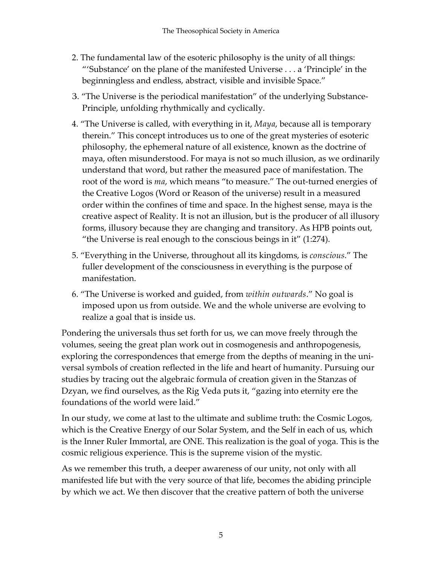- 2. The fundamental law of the esoteric philosophy is the unity of all things: "'Substance' on the plane of the manifested Universe . . . a 'Principle' in the beginningless and endless, abstract, visible and invisible Space."
- З. "The Universe is the periodical manifestation" of the underlying Substance-Principle, unfolding rhythmically and cyclically.
- 4. "The Universe is called, with everything in it, *Maya*, because all is temporary therein." This concept introduces us to one of the great mysteries of esoteric philosophy, the ephemeral nature of all existence, known as the doctrine of maya, often misunderstood. For maya is not so much illusion, as we ordinarily understand that word, but rather the measured pace of manifestation. The root of the word is *ma*, which means "to measure." The out-turned energies of the Creative Logos (Word or Reason of the universe) result in a measured order within the confines of time and space. In the highest sense, maya is the creative aspect of Reality. It is not an illusion, but is the producer of all illusory forms, illusory because they are changing and transitory. As HPB points out, "the Universe is real enough to the conscious beings in it" (1:274).
- 5. "Everything in the Universe, throughout all its kingdoms, is *conscious*." The fuller development of the consciousness in everything is the purpose of manifestation.
- 6. "The Universe is worked and guided, from *within outwards*." No goal is imposed upon us from outside. We and the whole universe are evolving to realize a goal that is inside us.

Pondering the universals thus set forth for us, we can move freely through the volumes, seeing the great plan work out in cosmogenesis and anthropogenesis, exploring the correspondences that emerge from the depths of meaning in the universal symbols of creation reflected in the life and heart of humanity. Pursuing our studies by tracing out the algebraic formula of creation given in the Stanzas of Dzyan, we find ourselves, as the Rig Veda puts it, "gazing into eternity ere the foundations of the world were laid."

In our study, we come at last to the ultimate and sublime truth: the Cosmic Logos, which is the Creative Energy of our Solar System, and the Self in each of us, which is the Inner Ruler Immortal, are ONE. This realization is the goal of yoga. This is the cosmic religious experience. This is the supreme vision of the mystic.

As we remember this truth, a deeper awareness of our unity, not only with all manifested life but with the very source of that life, becomes the abiding principle by which we act. We then discover that the creative pattern of both the universe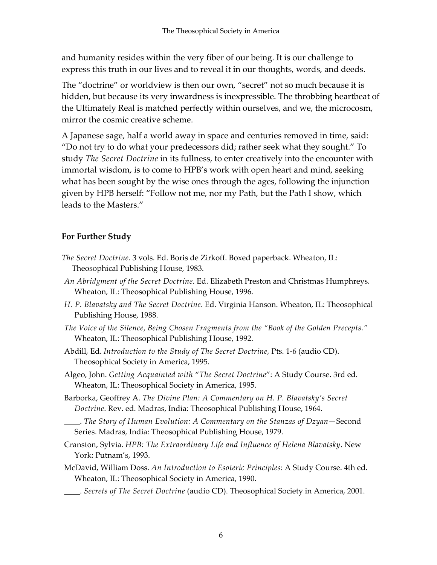and humanity resides within the very fiber of our being. It is our challenge to express this truth in our lives and to reveal it in our thoughts, words, and deeds.

The "doctrine" or worldview is then our own, "secret" not so much because it is hidden, but because its very inwardness is inexpressible. The throbbing heartbeat of the Ultimately Real is matched perfectly within ourselves, and we, the microcosm, mirror the cosmic creative scheme.

A Japanese sage, half a world away in space and centuries removed in time, said: "Do not try to do what your predecessors did; rather seek what they sought." To study *The Secret Doctrine* in its fullness, to enter creatively into the encounter with immortal wisdom, is to come to HPB's work with open heart and mind, seeking what has been sought by the wise ones through the ages, following the injunction given by HPB herself: "Follow not me, nor my Path, but the Path I show, which leads to the Masters."

## **For Further Study**

- *The Secret Doctrine*. 3 vols. Ed. Boris de Zirkoff. Boxed paperback. Wheaton, IL: Theosophical Publishing House, 1983.
- *An Abridgment of the Secret Doctrine*. Ed. Elizabeth Preston and Christmas Humphreys. Wheaton, IL: Theosophical Publishing House, 1996.
- *H. P. Blavatsky and The Secret Doctrine*. Ed. Virginia Hanson. Wheaton, IL: Theosophical Publishing House, 1988.
- *The Voice of the Silence*, *Being Chosen Fragments from the "Book of the Golden Precepts."* Wheaton, IL: Theosophical Publishing House, 1992.
- Abdill, Ed. *Introduction to the Study of The Secret Doctrine,* Pts. 1-6 (audio CD). Theosophical Society in America, 1995.
- Algeo, John. *Getting Acquainted with* "*The Secret Doctrine*": A Study Course. 3rd ed. Wheaton, IL: Theosophical Society in America, 1995.
- Barborka, Geoffrey A. *The Divine Plan: A Commentary on H. P. Blavatsky's Secret Doctrine*. Rev. ed. Madras, India: Theosophical Publishing House, 1964.
- \_\_\_\_. *The Story of Human Evolution: A Commentary on the Stanzas of Dzyan*—Second Series. Madras, India: Theosophical Publishing House, 1979.
- Cranston, Sylvia. *HPB: The Extraordinary Life and Influence of Helena Blavatsky*. New York: Putnam's, 1993.
- McDavid, William Doss. *An Introduction to Esoteric Principles*: A Study Course. 4th ed. Wheaton, IL: Theosophical Society in America, 1990.
- \_\_\_\_. *Secrets of The Secret Doctrine* (audio CD). Theosophical Society in America, 2001.